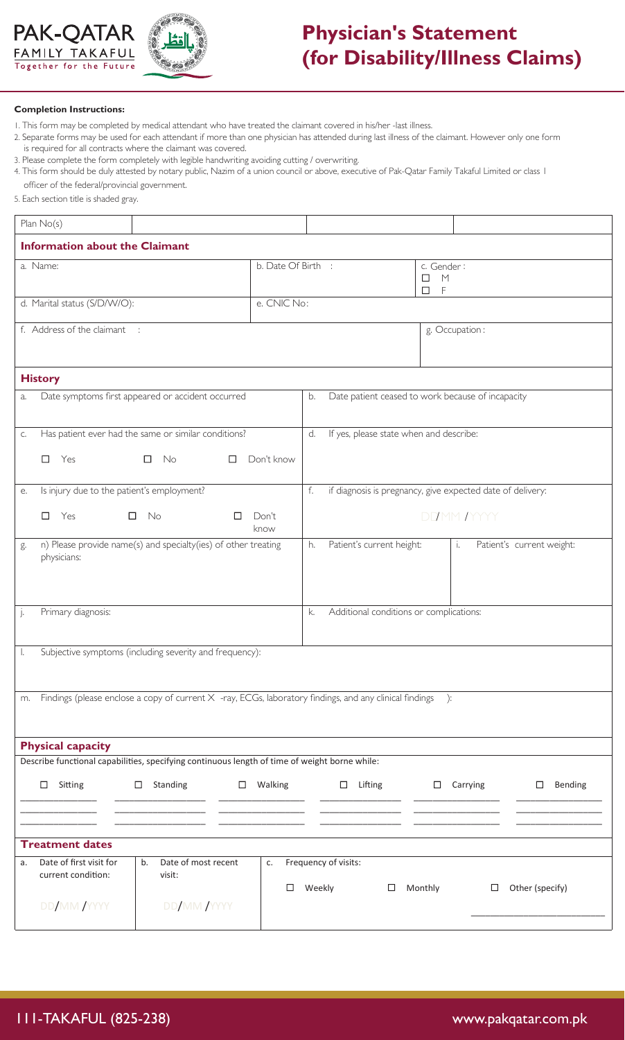



## **Physician's Statement (for Disability/Illness Claims)**

## **Completion Instructions:**

- 1. This form may be completed by medical attendant who have treated the claimant covered in his/her -last illness.
- 2. Separate forms may be used for each attendant if more than one physician has attended during last illness of the claimant. However only one form is required for all contracts where the claimant was covered.
- 3. Please complete the form completely with legible handwriting avoiding cutting / overwriting.
- 4. This form should be duly attested by notary public, Nazim of a union council or above, executive of Pak-Qatar Family Takaful Limited or class 1 officer of the federal/provincial government.
- 5. Each section title is shaded gray.

| Plan No(s)                                                                                                         |                                                                                                                                      |                    |                                                         |                                                            |                                |                 |                   |  |
|--------------------------------------------------------------------------------------------------------------------|--------------------------------------------------------------------------------------------------------------------------------------|--------------------|---------------------------------------------------------|------------------------------------------------------------|--------------------------------|-----------------|-------------------|--|
| <b>Information about the Claimant</b>                                                                              |                                                                                                                                      |                    |                                                         |                                                            |                                |                 |                   |  |
| a. Name:                                                                                                           |                                                                                                                                      | b. Date Of Birth : |                                                         |                                                            | c. Gender:<br>M<br>□<br>F<br>□ |                 |                   |  |
| d. Marital status (S/D/W/O):                                                                                       |                                                                                                                                      | e. CNIC No:        |                                                         |                                                            |                                |                 |                   |  |
| f. Address of the claimant :                                                                                       |                                                                                                                                      |                    |                                                         |                                                            | g. Occupation:                 |                 |                   |  |
| <b>History</b>                                                                                                     |                                                                                                                                      |                    |                                                         |                                                            |                                |                 |                   |  |
| Date symptoms first appeared or accident occurred<br>a.                                                            |                                                                                                                                      |                    | Date patient ceased to work because of incapacity<br>b. |                                                            |                                |                 |                   |  |
| C.                                                                                                                 | Has patient ever had the same or similar conditions?                                                                                 |                    | If yes, please state when and describe:<br>d.           |                                                            |                                |                 |                   |  |
| Don't know<br>$\Box$<br>$\Box$<br>Yes<br>$\Box$<br>No                                                              |                                                                                                                                      |                    |                                                         |                                                            |                                |                 |                   |  |
| Is injury due to the patient's employment?<br>f.<br>е.                                                             |                                                                                                                                      |                    |                                                         | if diagnosis is pregnancy, give expected date of delivery: |                                |                 |                   |  |
| $\Box$<br>Yes<br>□                                                                                                 | No<br>Ш                                                                                                                              | Don't<br>know      | DDMM IYYYY                                              |                                                            |                                |                 |                   |  |
| g.<br>physicians:                                                                                                  | n) Please provide name(s) and specialty(ies) of other treating<br>Patient's current height:<br>Patient's current weight:<br>h.<br>i. |                    |                                                         |                                                            |                                |                 |                   |  |
| $\vert$ .                                                                                                          | Primary diagnosis:<br>Additional conditions or complications:<br>k.                                                                  |                    |                                                         |                                                            |                                |                 |                   |  |
| Subjective symptoms (including severity and frequency):                                                            |                                                                                                                                      |                    |                                                         |                                                            |                                |                 |                   |  |
| Findings (please enclose a copy of current $X$ -ray, ECGs, laboratory findings, and any clinical findings ):<br>m. |                                                                                                                                      |                    |                                                         |                                                            |                                |                 |                   |  |
| <b>Physical capacity</b>                                                                                           |                                                                                                                                      |                    |                                                         |                                                            |                                |                 |                   |  |
| Describe functional capabilities, specifying continuous length of time of weight borne while:                      |                                                                                                                                      |                    |                                                         |                                                            |                                |                 |                   |  |
| Sitting<br>$\Box$<br>$\Box$                                                                                        | Standing                                                                                                                             | $\Box$ Walking     |                                                         | $\Box$ Lifting                                             |                                | $\Box$ Carrying | Bending<br>$\Box$ |  |
| <b>Treatment dates</b>                                                                                             |                                                                                                                                      |                    |                                                         |                                                            |                                |                 |                   |  |
| Date of first visit for<br>a.<br>current condition:                                                                | Date of most recent<br>b.<br>visit:                                                                                                  | c.<br>□            | Weekly                                                  | Frequency of visits:<br>□                                  | Monthly                        | $\Box$          | Other (specify)   |  |
| DD/MM/YYYY                                                                                                         | DD/MM/YYYY                                                                                                                           |                    |                                                         |                                                            |                                |                 |                   |  |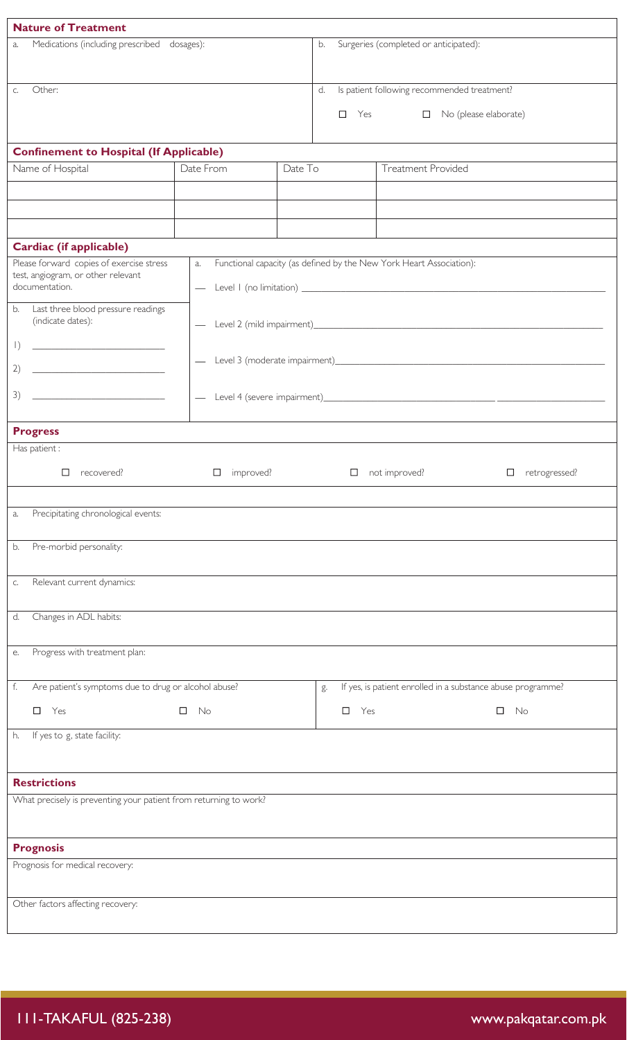| <b>Nature of Treatment</b>                                                                                                                                                                                                                 |                     |         |                                             |                                                   |                                                                     |  |  |  |
|--------------------------------------------------------------------------------------------------------------------------------------------------------------------------------------------------------------------------------------------|---------------------|---------|---------------------------------------------|---------------------------------------------------|---------------------------------------------------------------------|--|--|--|
| Medications (including prescribed dosages):<br>a.                                                                                                                                                                                          |                     |         | Surgeries (completed or anticipated):<br>b. |                                                   |                                                                     |  |  |  |
|                                                                                                                                                                                                                                            |                     |         |                                             |                                                   |                                                                     |  |  |  |
| Other:<br>C.                                                                                                                                                                                                                               |                     |         |                                             | Is patient following recommended treatment?<br>d. |                                                                     |  |  |  |
|                                                                                                                                                                                                                                            |                     |         |                                             |                                                   | $\Box$ Yes<br>$\Box$ No (please elaborate)                          |  |  |  |
| <b>Confinement to Hospital (If Applicable)</b>                                                                                                                                                                                             |                     |         |                                             |                                                   |                                                                     |  |  |  |
| Name of Hospital                                                                                                                                                                                                                           | Date From           | Date To |                                             |                                                   | <b>Treatment Provided</b>                                           |  |  |  |
|                                                                                                                                                                                                                                            |                     |         |                                             |                                                   |                                                                     |  |  |  |
|                                                                                                                                                                                                                                            |                     |         |                                             |                                                   |                                                                     |  |  |  |
|                                                                                                                                                                                                                                            |                     |         |                                             |                                                   |                                                                     |  |  |  |
| Cardiac (if applicable)                                                                                                                                                                                                                    |                     |         |                                             |                                                   |                                                                     |  |  |  |
| Please forward copies of exercise stress<br>test, angiogram, or other relevant<br>documentation.                                                                                                                                           | a.                  |         |                                             |                                                   | Functional capacity (as defined by the New York Heart Association): |  |  |  |
| Last three blood pressure readings<br>b.                                                                                                                                                                                                   |                     |         |                                             |                                                   |                                                                     |  |  |  |
| (indicate dates):                                                                                                                                                                                                                          |                     |         |                                             |                                                   |                                                                     |  |  |  |
| $\left  \right)$                                                                                                                                                                                                                           |                     |         |                                             |                                                   |                                                                     |  |  |  |
| 2)<br><u> 1989 - Johann Harrison, markin f</u>                                                                                                                                                                                             |                     |         |                                             |                                                   |                                                                     |  |  |  |
| 3)<br><u> 1989 - Johann Harry Harry Harry Harry Harry Harry Harry Harry Harry Harry Harry Harry Harry Harry Harry Harry Harry Harry Harry Harry Harry Harry Harry Harry Harry Harry Harry Harry Harry Harry Harry Harry Harry Harry Ha</u> |                     |         |                                             |                                                   |                                                                     |  |  |  |
|                                                                                                                                                                                                                                            |                     |         |                                             |                                                   |                                                                     |  |  |  |
| <b>Progress</b><br>Has patient :                                                                                                                                                                                                           |                     |         |                                             |                                                   |                                                                     |  |  |  |
|                                                                                                                                                                                                                                            |                     |         |                                             |                                                   |                                                                     |  |  |  |
| $\Box$<br>recovered?                                                                                                                                                                                                                       | improved?<br>$\Box$ |         |                                             | $\Box$                                            | not improved?<br>retrogressed?<br>□                                 |  |  |  |
|                                                                                                                                                                                                                                            |                     |         |                                             |                                                   |                                                                     |  |  |  |
| Precipitating chronological events:<br>a.                                                                                                                                                                                                  |                     |         |                                             |                                                   |                                                                     |  |  |  |
| Pre-morbid personality:<br>b.                                                                                                                                                                                                              |                     |         |                                             |                                                   |                                                                     |  |  |  |
|                                                                                                                                                                                                                                            |                     |         |                                             |                                                   |                                                                     |  |  |  |
| Relevant current dynamics:<br>C.                                                                                                                                                                                                           |                     |         |                                             |                                                   |                                                                     |  |  |  |
| Changes in ADL habits:<br>d.                                                                                                                                                                                                               |                     |         |                                             |                                                   |                                                                     |  |  |  |
|                                                                                                                                                                                                                                            |                     |         |                                             |                                                   |                                                                     |  |  |  |
| Progress with treatment plan:<br>е.                                                                                                                                                                                                        |                     |         |                                             |                                                   |                                                                     |  |  |  |
| f.<br>Are patient's symptoms due to drug or alcohol abuse?                                                                                                                                                                                 |                     |         | g.                                          |                                                   | If yes, is patient enrolled in a substance abuse programme?         |  |  |  |
| $\Box$<br>Yes<br>$\Box$<br>No                                                                                                                                                                                                              |                     |         |                                             | $\Box$<br>Yes                                     | $\Box$<br>No                                                        |  |  |  |
| If yes to g, state facility:<br>h.                                                                                                                                                                                                         |                     |         |                                             |                                                   |                                                                     |  |  |  |
|                                                                                                                                                                                                                                            |                     |         |                                             |                                                   |                                                                     |  |  |  |
| <b>Restrictions</b>                                                                                                                                                                                                                        |                     |         |                                             |                                                   |                                                                     |  |  |  |
| What precisely is preventing your patient from returning to work?                                                                                                                                                                          |                     |         |                                             |                                                   |                                                                     |  |  |  |
|                                                                                                                                                                                                                                            |                     |         |                                             |                                                   |                                                                     |  |  |  |
| <b>Prognosis</b>                                                                                                                                                                                                                           |                     |         |                                             |                                                   |                                                                     |  |  |  |
| Prognosis for medical recovery:                                                                                                                                                                                                            |                     |         |                                             |                                                   |                                                                     |  |  |  |
| Other factors affecting recovery:                                                                                                                                                                                                          |                     |         |                                             |                                                   |                                                                     |  |  |  |
|                                                                                                                                                                                                                                            |                     |         |                                             |                                                   |                                                                     |  |  |  |